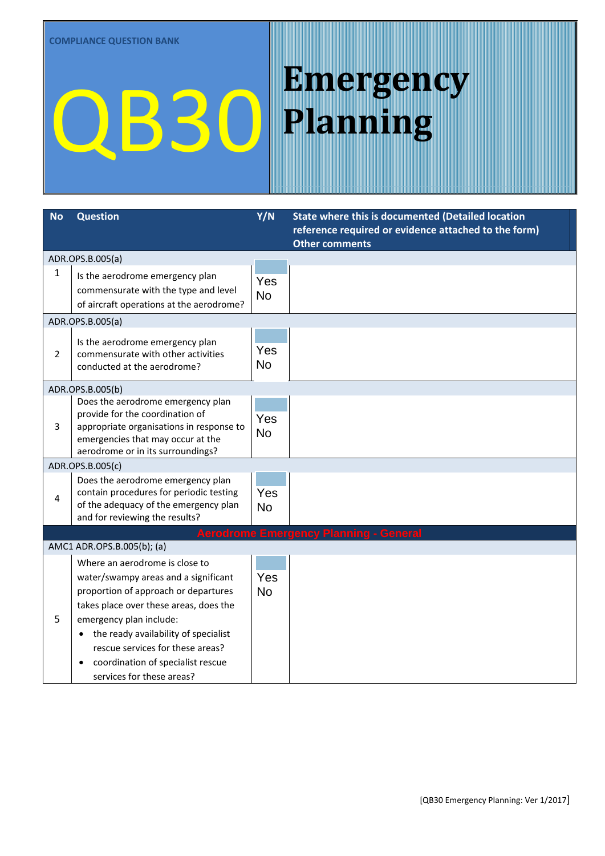| <b>Question</b>                                                                                                                                          | Y/N                                                                                                                                                                          | State where this is documented (Detailed location<br>reference required or evidence attached to the form) |
|----------------------------------------------------------------------------------------------------------------------------------------------------------|------------------------------------------------------------------------------------------------------------------------------------------------------------------------------|-----------------------------------------------------------------------------------------------------------|
|                                                                                                                                                          |                                                                                                                                                                              | <b>Other comments</b>                                                                                     |
|                                                                                                                                                          |                                                                                                                                                                              |                                                                                                           |
| Is the aerodrome emergency plan<br>commensurate with the type and level                                                                                  | Yes                                                                                                                                                                          |                                                                                                           |
| of aircraft operations at the aerodrome?                                                                                                                 |                                                                                                                                                                              |                                                                                                           |
|                                                                                                                                                          |                                                                                                                                                                              |                                                                                                           |
| Is the aerodrome emergency plan<br>commensurate with other activities<br>conducted at the aerodrome?                                                     | Yes<br><b>No</b>                                                                                                                                                             |                                                                                                           |
|                                                                                                                                                          |                                                                                                                                                                              |                                                                                                           |
| Does the aerodrome emergency plan<br>provide for the coordination of<br>appropriate organisations in response to<br>emergencies that may occur at the    | Yes<br><b>No</b>                                                                                                                                                             |                                                                                                           |
|                                                                                                                                                          |                                                                                                                                                                              |                                                                                                           |
| Does the aerodrome emergency plan<br>contain procedures for periodic testing<br>of the adequacy of the emergency plan<br>and for reviewing the results?  | Yes<br><b>No</b>                                                                                                                                                             |                                                                                                           |
|                                                                                                                                                          |                                                                                                                                                                              | <b>Aerodrome Emergency Planning - General</b>                                                             |
|                                                                                                                                                          |                                                                                                                                                                              |                                                                                                           |
| Where an aerodrome is close to<br>water/swampy areas and a significant<br>proportion of approach or departures<br>takes place over these areas, does the | Yes<br><b>No</b>                                                                                                                                                             |                                                                                                           |
| emergency plan include:<br>the ready availability of specialist<br>rescue services for these areas?<br>coordination of specialist rescue                 |                                                                                                                                                                              |                                                                                                           |
|                                                                                                                                                          | ADR.OPS.B.005(a)<br>ADR.OPS.B.005(a)<br>ADR.OPS.B.005(b)<br>aerodrome or in its surroundings?<br>ADR.OPS.B.005(c)<br>AMC1 ADR.OPS.B.005(b); (a)<br>services for these areas? | <b>No</b>                                                                                                 |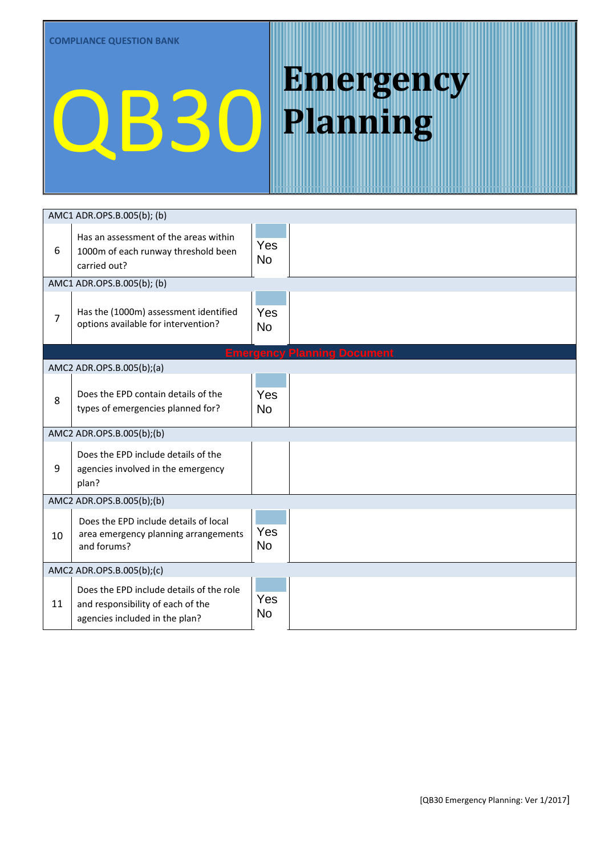|                | AMC1 ADR.OPS.B.005(b); (b)                                                                                      |                  |                                    |
|----------------|-----------------------------------------------------------------------------------------------------------------|------------------|------------------------------------|
| 6              | Has an assessment of the areas within<br>1000m of each runway threshold been<br>carried out?                    | Yes<br><b>No</b> |                                    |
|                | AMC1 ADR.OPS.B.005(b); (b)                                                                                      |                  |                                    |
| $\overline{7}$ | Has the (1000m) assessment identified<br>options available for intervention?                                    | Yes<br><b>No</b> |                                    |
|                |                                                                                                                 |                  | <b>Emergency Planning Document</b> |
|                | AMC2 ADR.OPS.B.005(b);(a)                                                                                       |                  |                                    |
| 8              | Does the EPD contain details of the<br>types of emergencies planned for?                                        | Yes<br><b>No</b> |                                    |
|                | AMC2 ADR.OPS.B.005(b);(b)                                                                                       |                  |                                    |
| 9              | Does the EPD include details of the<br>agencies involved in the emergency<br>plan?                              | Yes<br><b>No</b> |                                    |
|                | AMC2 ADR.OPS.B.005(b);(b)                                                                                       |                  |                                    |
| 10             | Does the EPD include details of local<br>area emergency planning arrangements<br>and forums?                    | Yes<br><b>No</b> |                                    |
|                | AMC2 ADR.OPS.B.005(b);(c)                                                                                       |                  |                                    |
| 11             | Does the EPD include details of the role<br>and responsibility of each of the<br>agencies included in the plan? | Yes<br><b>No</b> |                                    |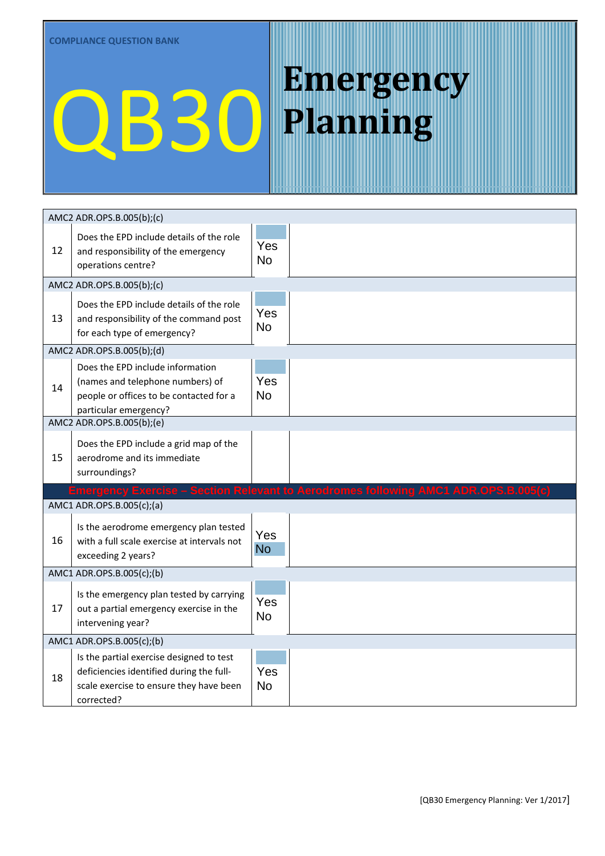|    | AMC2 ADR.OPS.B.005(b);(c)                                                                                                                     |                  |                                                                                     |
|----|-----------------------------------------------------------------------------------------------------------------------------------------------|------------------|-------------------------------------------------------------------------------------|
| 12 | Does the EPD include details of the role<br>and responsibility of the emergency<br>operations centre?                                         | Yes<br><b>No</b> |                                                                                     |
|    | AMC2 ADR.OPS.B.005(b);(c)                                                                                                                     |                  |                                                                                     |
| 13 | Does the EPD include details of the role<br>and responsibility of the command post<br>for each type of emergency?                             | Yes<br><b>No</b> |                                                                                     |
|    | AMC2 ADR.OPS.B.005(b);(d)                                                                                                                     |                  |                                                                                     |
| 14 | Does the EPD include information<br>(names and telephone numbers) of<br>people or offices to be contacted for a<br>particular emergency?      | Yes<br><b>No</b> |                                                                                     |
|    | AMC2 ADR.OPS.B.005(b);(e)                                                                                                                     |                  |                                                                                     |
| 15 | Does the EPD include a grid map of the<br>aerodrome and its immediate<br>surroundings?                                                        | Yes<br><b>No</b> |                                                                                     |
|    |                                                                                                                                               |                  | Emergency Exercise - Section Relevant to Aerodromes following AMC1 ADR.OPS.B.005(c) |
|    | AMC1 ADR.OPS.B.005(c);(a)                                                                                                                     |                  |                                                                                     |
| 16 | Is the aerodrome emergency plan tested<br>with a full scale exercise at intervals not<br>exceeding 2 years?                                   | Yes<br><b>No</b> |                                                                                     |
|    | AMC1 ADR.OPS.B.005(c);(b)                                                                                                                     |                  |                                                                                     |
| 17 | Is the emergency plan tested by carrying<br>out a partial emergency exercise in the<br>intervening year?                                      | Yes<br><b>No</b> |                                                                                     |
|    | AMC1 ADR.OPS.B.005(c);(b)                                                                                                                     |                  |                                                                                     |
| 18 | Is the partial exercise designed to test<br>deficiencies identified during the full-<br>scale exercise to ensure they have been<br>corrected? | Yes<br><b>No</b> |                                                                                     |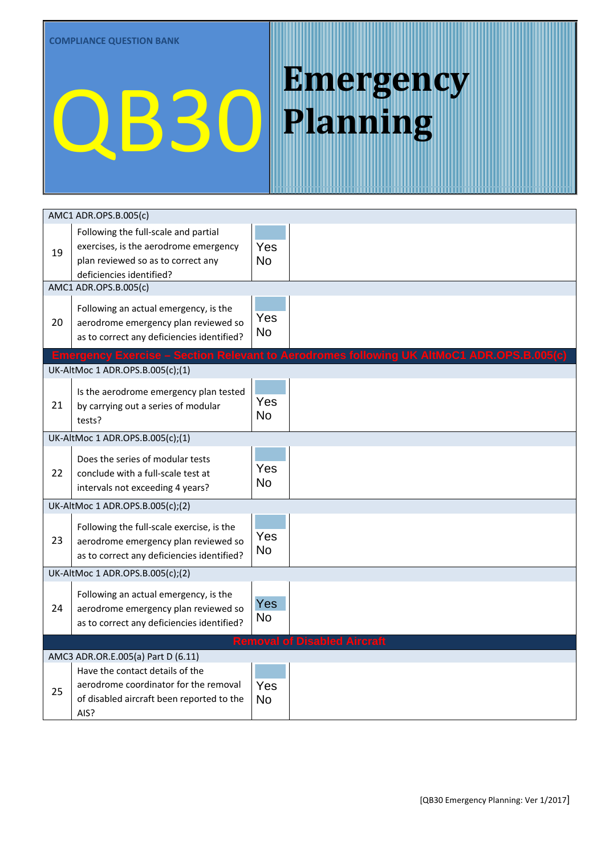|    | AMC1 ADR.OPS.B.005(c)                                                                                                                           |                                     |                                                                                          |
|----|-------------------------------------------------------------------------------------------------------------------------------------------------|-------------------------------------|------------------------------------------------------------------------------------------|
| 19 | Following the full-scale and partial<br>exercises, is the aerodrome emergency<br>plan reviewed so as to correct any<br>deficiencies identified? | Yes<br><b>No</b>                    |                                                                                          |
|    | AMC1 ADR.OPS.B.005(c)                                                                                                                           |                                     |                                                                                          |
| 20 | Following an actual emergency, is the<br>aerodrome emergency plan reviewed so<br>as to correct any deficiencies identified?                     | Yes<br>No                           |                                                                                          |
|    |                                                                                                                                                 |                                     | Emergency Exercise - Section Relevant to Aerodromes following UK AltMoC1 ADR.OPS.B.005(c |
|    | UK-AltMoc 1 ADR.OPS.B.005(c);(1)                                                                                                                |                                     |                                                                                          |
| 21 | Is the aerodrome emergency plan tested<br>by carrying out a series of modular<br>tests?                                                         | Yes<br><b>No</b>                    |                                                                                          |
|    | UK-AltMoc 1 ADR.OPS.B.005(c);(1)                                                                                                                |                                     |                                                                                          |
| 22 | Does the series of modular tests<br>conclude with a full-scale test at<br>intervals not exceeding 4 years?                                      | Yes<br><b>No</b>                    |                                                                                          |
|    | UK-AltMoc 1 ADR.OPS.B.005(c);(2)                                                                                                                |                                     |                                                                                          |
| 23 | Following the full-scale exercise, is the<br>aerodrome emergency plan reviewed so<br>as to correct any deficiencies identified?                 | Yes<br><b>No</b>                    |                                                                                          |
|    | UK-AltMoc 1 ADR.OPS.B.005(c);(2)                                                                                                                |                                     |                                                                                          |
| 24 | Following an actual emergency, is the<br>aerodrome emergency plan reviewed so<br>as to correct any deficiencies identified?                     | <b>Yes</b><br>No                    |                                                                                          |
|    |                                                                                                                                                 | <b>Removal of Disabled Aircraft</b> |                                                                                          |
|    | AMC3 ADR.OR.E.005(a) Part D (6.11)                                                                                                              |                                     |                                                                                          |
| 25 | Have the contact details of the<br>aerodrome coordinator for the removal<br>of disabled aircraft been reported to the<br>AIS?                   | Yes<br><b>No</b>                    |                                                                                          |